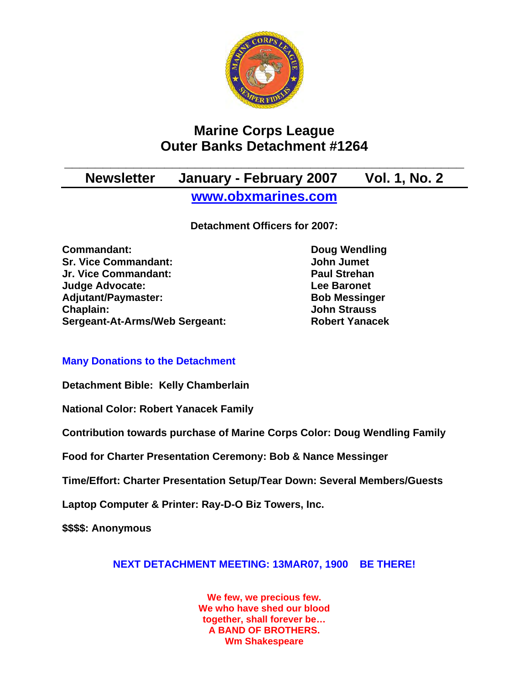

# **Marine Corps League Outer Banks Detachment #1264**

## **\_\_\_\_\_\_\_\_\_\_\_\_\_\_\_\_\_\_\_\_\_\_\_\_\_\_\_\_\_\_\_\_\_\_\_\_\_\_\_\_\_\_\_\_\_\_\_\_\_\_\_\_ Newsletter January - February 2007 Vol. 1, No. 2 [www.obxmarines.com](http://www.obxmarines.com/)**

**Detachment Officers for 2007:** 

**Commandant:** Doug Wendling **Sr. Vice Commandant:** John Jumet **Jr. Vice Commandant: Paul Strehan Judge Advocate:** The Contract Contract Lee Baronet Adjutant/Paymaster: Bob Messinger **Chaplain: John Strauss Sergeant-At-Arms/Web Sergeant: Robert Yanacek**

#### **Many Donations to the Detachment**

**Detachment Bible: Kelly Chamberlain** 

**National Color: Robert Yanacek Family**

**Contribution towards purchase of Marine Corps Color: Doug Wendling Family**

**Food for Charter Presentation Ceremony: Bob & Nance Messinger** 

**Time/Effort: Charter Presentation Setup/Tear Down: Several Members/Guests** 

**Laptop Computer & Printer: Ray-D-O Biz Towers, Inc.** 

**\$\$\$\$: Anonymous** 

### **NEXT DETACHMENT MEETING: 13MAR07, 1900 BE THERE!**

**We few, we precious few. We who have shed our blood together, shall forever be… A BAND OF BROTHERS. Wm Shakespeare**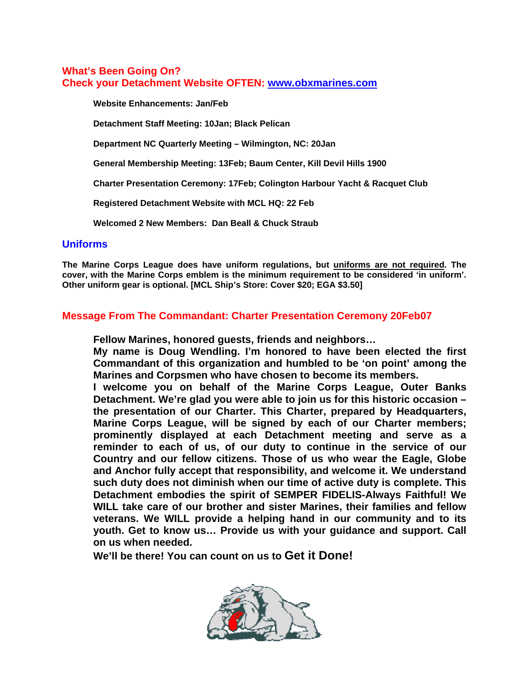#### **What's Been Going On? Check your Detachment Website OFTEN: [www.obxmarines.com](http://www.obxmarines.com/)**

**Website Enhancements: Jan/Feb** 

**Detachment Staff Meeting: 10Jan; Black Pelican** 

**Department NC Quarterly Meeting – Wilmington, NC: 20Jan** 

**General Membership Meeting: 13Feb; Baum Center, Kill Devil Hills 1900** 

**Charter Presentation Ceremony: 17Feb; Colington Harbour Yacht & Racquet Club** 

**Registered Detachment Website with MCL HQ: 22 Feb** 

**Welcomed 2 New Members: Dan Beall & Chuck Straub** 

#### **Uniforms**

**The Marine Corps League does have uniform regulations, but uniforms are not required. The cover, with the Marine Corps emblem is the minimum requirement to be considered 'in uniform'. Other uniform gear is optional. [MCL Ship's Store: Cover \$20; EGA \$3.50]** 

#### **Message From The Commandant: Charter Presentation Ceremony 20Feb07**

**Fellow Marines, honored guests, friends and neighbors…** 

**My name is Doug Wendling. I'm honored to have been elected the first Commandant of this organization and humbled to be 'on point' among the Marines and Corpsmen who have chosen to become its members.** 

**I welcome you on behalf of the Marine Corps League, Outer Banks Detachment. We're glad you were able to join us for this historic occasion – the presentation of our Charter. This Charter, prepared by Headquarters, Marine Corps League, will be signed by each of our Charter members; prominently displayed at each Detachment meeting and serve as a reminder to each of us, of our duty to continue in the service of our Country and our fellow citizens. Those of us who wear the Eagle, Globe and Anchor fully accept that responsibility, and welcome it. We understand such duty does not diminish when our time of active duty is complete. This Detachment embodies the spirit of SEMPER FIDELIS-Always Faithful! We WILL take care of our brother and sister Marines, their families and fellow veterans. We WILL provide a helping hand in our community and to its youth. Get to know us… Provide us with your guidance and support. Call on us when needed.** 

**We'll be there! You can count on us to Get it Done!**

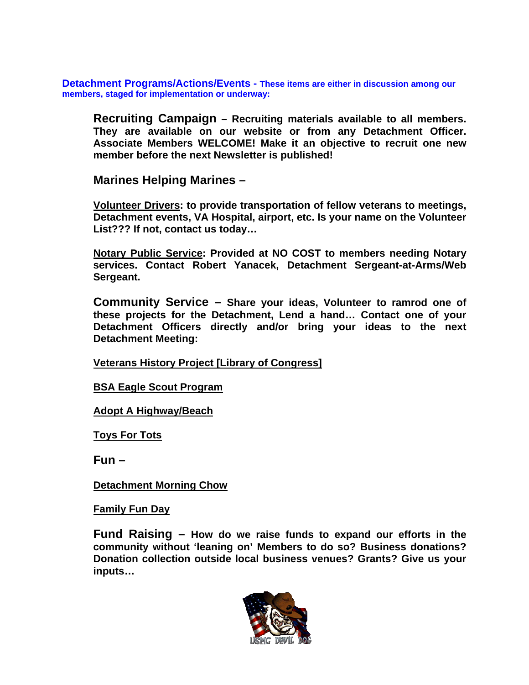**Detachment Programs/Actions/Events - These items are either in discussion among our members, staged for implementation or underway:** 

**Recruiting Campaign – Recruiting materials available to all members. They are available on our website or from any Detachment Officer. Associate Members WELCOME! Make it an objective to recruit one new member before the next Newsletter is published!** 

**Marines Helping Marines –** 

**Volunteer Drivers: to provide transportation of fellow veterans to meetings, Detachment events, VA Hospital, airport, etc. Is your name on the Volunteer List??? If not, contact us today…**

**Notary Public Service: Provided at NO COST to members needing Notary services. Contact Robert Yanacek, Detachment Sergeant-at-Arms/Web Sergeant.** 

**Community Service – Share your ideas, Volunteer to ramrod one of these projects for the Detachment, Lend a hand… Contact one of your Detachment Officers directly and/or bring your ideas to the next Detachment Meeting:** 

**Veterans History Project [Library of Congress]**

**BSA Eagle Scout Program**

**Adopt A Highway/Beach**

**Toys For Tots**

**Fun –** 

**Detachment Morning Chow**

**Family Fun Day**

**Fund Raising – How do we raise funds to expand our efforts in the community without 'leaning on' Members to do so? Business donations? Donation collection outside local business venues? Grants? Give us your inputs…**